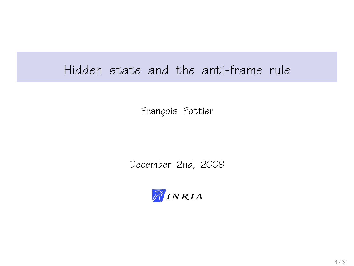## Hidden state and the anti-frame rule

François Pottier

December 2nd, 2009

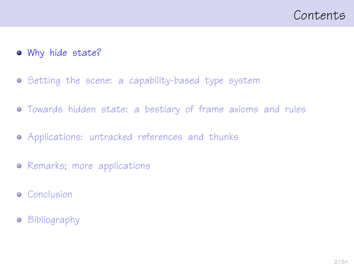- [Why hide state?](#page-1-0)
- [Setting the scene: a capability-based type system](#page-9-0)
- [Towards hidden state: a bestiary of frame axioms and rules](#page-14-0)
- [Applications: untracked references and thunks](#page-22-0)
- [Remarks; more applications](#page-32-0)
- **•** [Conclusion](#page-42-0)
- <span id="page-1-0"></span>**•** [Bibliography](#page-44-0)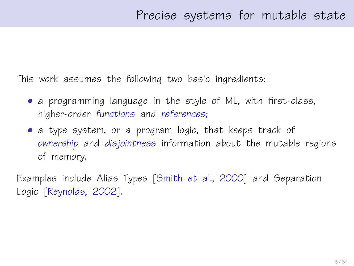This work assumes the following two basic ingredients:

- a programming language in the style of ML, with first-class, higher-order functions and references;
- a type system, or a program logic, that keeps track of ownership and disjointness information about the mutable regions of memory.

Examples include Alias Types [\[Smith et al., 2000\]](#page-50-0) and Separation Logic [\[Reynolds, 2002\]](#page-49-0).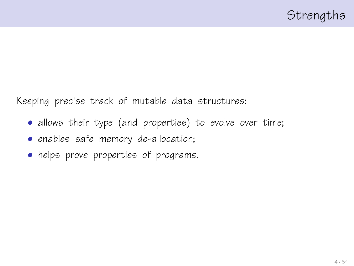Keeping precise track of mutable data structures:

- allows their type (and properties) to evolve over time;
- enables safe memory de-allocation;
- helps prove properties of programs.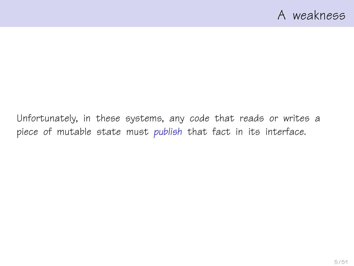Unfortunately, in these systems, any code that reads or writes a piece of mutable state must publish that fact in its interface.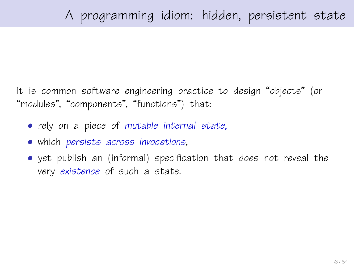It is common software engineering practice to design "objects" (or "modules", "components", "functions") that:

- rely on a piece of mutable internal state,
- which persists across invocations,
- yet publish an (informal) specification that does not reveal the very existence of such a state.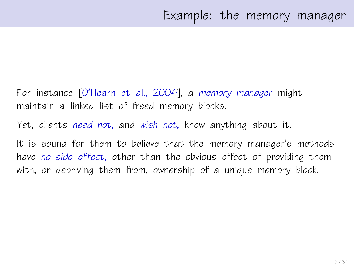- For instance [\[O'Hearn et al., 2004\]](#page-47-0), a memory manager might maintain a linked list of freed memory blocks.
- Yet, clients need not, and wish not, know anything about it.
- It is sound for them to believe that the memory manager's methods have no side effect, other than the obvious effect of providing them with, or depriving them from, ownership of a unique memory block.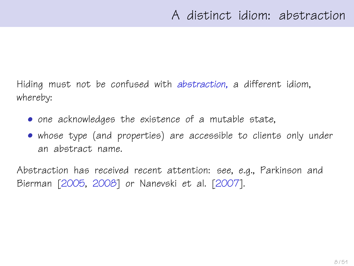Hiding must not be confused with abstraction, a different idiom, whereby:

- one acknowledges the existence of a mutable state,
- whose type (and properties) are accessible to clients only under an abstract name.

Abstraction has received recent attention: see, e.g., Parkinson and Bierman [\[2005,](#page-48-0) [2008\]](#page-48-1) or Nanevski et al. [\[2007\]](#page-47-1).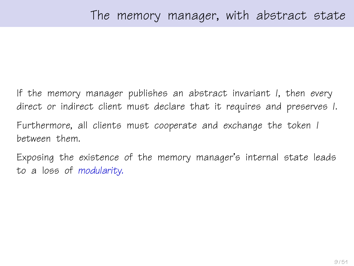If the memory manager publishes an abstract invariant I, then every direct or indirect client must declare that it requires and preserves I. Furthermore, all clients must cooperate and exchange the token I between them.

Exposing the existence of the memory manager's internal state leads to a loss of modularity.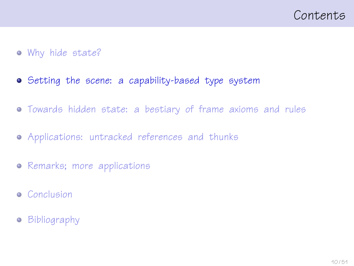### • [Why hide state?](#page-1-0)

- [Setting the scene: a capability-based type system](#page-9-0)
- [Towards hidden state: a bestiary of frame axioms and rules](#page-14-0)
- [Applications: untracked references and thunks](#page-22-0)
- [Remarks; more applications](#page-32-0)
- **•** [Conclusion](#page-42-0)
- <span id="page-9-0"></span>**•** [Bibliography](#page-44-0)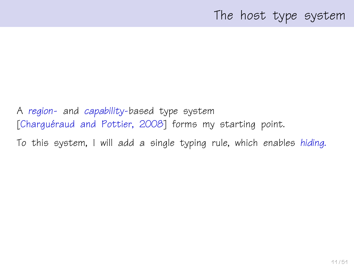## The host type system

A region- and capability-based type system [Charguéraud and Pottier, 2008] forms my starting point.

To this system, I will add a single typing rule, which enables hiding.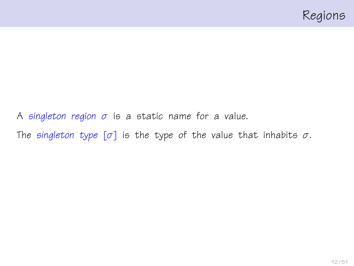A singleton region  $\sigma$  is a static name for a value. The singleton type  $[\sigma]$  is the type of the value that inhabits  $\sigma$ .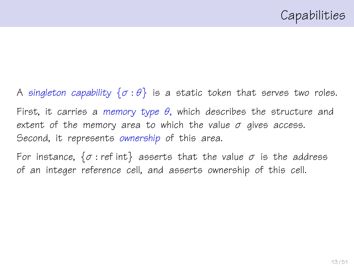A singleton capability  $\{\sigma : \theta\}$  is a static token that serves two roles. First, it carries a memory type  $\theta$ , which describes the structure and extent of the memory area to which the value  $\sigma$  gives access. Second, it represents ownership of this area. For instance,  $\{\sigma : \text{ref int}\}$  asserts that the value  $\sigma$  is the address

of an integer reference cell, and asserts ownership of this cell.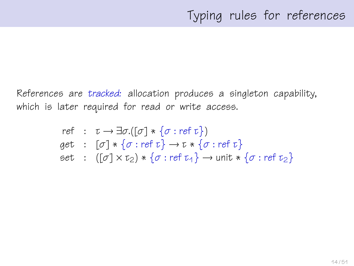References are tracked: allocation produces a singleton capability, which is later required for read or write access.

ref : 
$$
\tau \rightarrow \exists \sigma.([\sigma] * \{\sigma : \text{ref } \tau\})
$$
  
get :  $[\sigma] * \{\sigma : \text{ref } \tau\} \rightarrow \tau * \{\sigma : \text{ref } \tau\}$   
set :  $([\sigma] \times \tau_2) * \{\sigma : \text{ref } \tau_4\} \rightarrow \text{unit} * \{\sigma : \text{ref } \tau_2\}$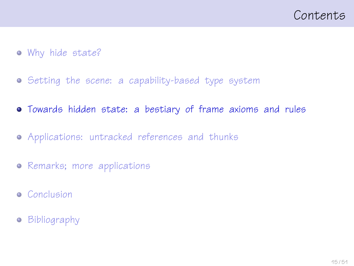- [Why hide state?](#page-1-0)
- [Setting the scene: a capability-based type system](#page-9-0)
- [Towards hidden state: a bestiary of frame axioms and rules](#page-14-0)
- [Applications: untracked references and thunks](#page-22-0)
- [Remarks; more applications](#page-32-0)
- **•** [Conclusion](#page-42-0)
- <span id="page-14-0"></span>**•** [Bibliography](#page-44-0)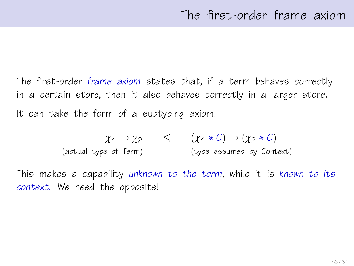The first-order frame axiom states that, if a term behaves correctly in a certain store, then it also behaves correctly in a larger store. It can take the form of a subtyping axiom:

$$
\chi_1 \to \chi_2 \qquad \leq \qquad (\chi_1 * C) \to (\chi_2 * C)
$$
  
(actual type of Term) (type assumed by Context)

This makes a capability unknown to the term, while it is known to its context. We need the opposite!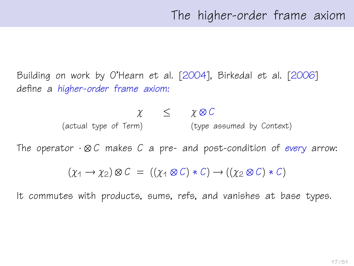Building on work by O'Hearn et al. [\[2004\]](#page-47-0), Birkedal et al. [\[2006\]](#page-45-1) define a higher-order frame axiom:

> $x \leq \chi \otimes C$ (actual type of Term) (type assumed by Context)

The operator  $\cdot \otimes C$  makes C a pre- and post-condition of every arrow:

 $(\gamma_1 \rightarrow \gamma_2) \otimes C = ((\gamma_1 \otimes C) * C) \rightarrow ((\gamma_2 \otimes C) * C)$ 

It commutes with products, sums, refs, and vanishes at base types.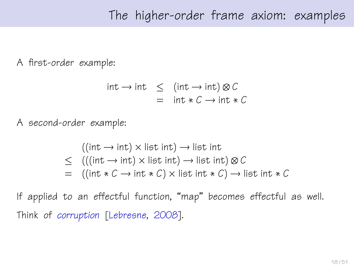## The higher-order frame axiom: examples

A first-order example:

$$
int \rightarrow int \leq (int \rightarrow int) \otimes C
$$
  
= int \* C \rightarrow int \* C

A second-order example:

$$
((\text{int} \rightarrow \text{int}) \times \text{list int}) \rightarrow \text{list int}
$$
  
≤ 
$$
(((\text{int} \rightarrow \text{int}) \times \text{list int}) \rightarrow \text{list int}) \otimes C
$$
  
= 
$$
((\text{int} * C \rightarrow \text{int} * C) \times \text{list int} * C) \rightarrow \text{list int} * C
$$

If applied to an effectful function, "map" becomes effectful as well. Think of corruption [\[Lebresne, 2008\]](#page-46-0).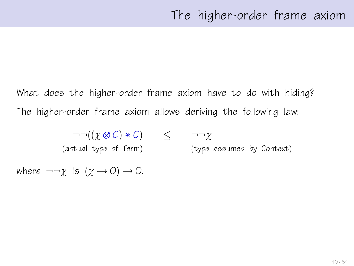What does the higher-order frame axiom have to do with hiding? The higher-order frame axiom allows deriving the following law:

$$
\neg \neg ((\chi \otimes C) * C) \leq \neg \neg \chi
$$
  
(actual type of Term) (type

(type assumed by Context)

where  $\neg\neg\chi$  is  $(\chi \rightarrow 0) \rightarrow 0$ .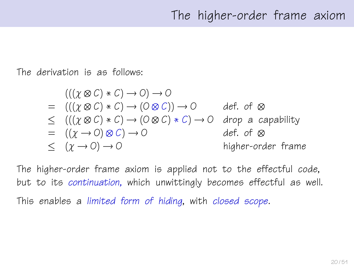The derivation is as follows:

$$
(((\chi \otimes C) * C) \rightarrow O) \rightarrow O
$$
\n
$$
= (((\chi \otimes C) * C) \rightarrow (O \otimes C)) \rightarrow O
$$
\n
$$
\leq (((\chi \otimes C) * C) \rightarrow (O \otimes C) * C) \rightarrow O
$$
\n
$$
= ((\chi \rightarrow O) \otimes C) \rightarrow O
$$
\n
$$
\leq (\chi \rightarrow O) \rightarrow O
$$
\n
$$
\leq (\chi \rightarrow O) \rightarrow O
$$
\n
$$
\leq (\chi \rightarrow O) \rightarrow O
$$
\n
$$
\leq (1 + \chi \rightarrow O) \rightarrow O
$$
\n
$$
\leq (1 + \chi \rightarrow O) \rightarrow O
$$
\n
$$
\leq (1 + \chi \rightarrow O) \rightarrow O
$$
\n
$$
\leq (1 + \chi \rightarrow O) \rightarrow O
$$
\n
$$
\leq (1 + \chi \rightarrow O) \rightarrow O
$$
\n
$$
\leq (1 + \chi \rightarrow O) \rightarrow O
$$

The higher-order frame axiom is applied not to the effectful code, but to its continuation, which unwittingly becomes effectful as well. This enables a limited form of hiding, with closed scope.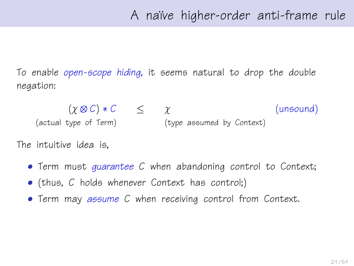To enable open-scope hiding, it seems natural to drop the double negation:

 $(\chi \otimes C) * C \leq \chi$  (unsound) (actual type of Term) (type assumed by Context)

The intuitive idea is,

- Term must quarantee C when abandoning control to Context;
- (thus, C holds whenever Context has control;)
- Term may assume C when receiving control from Context.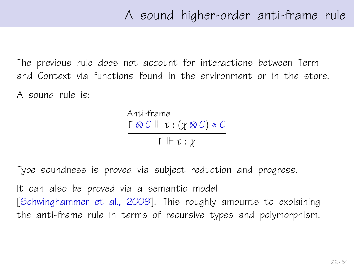The previous rule does not account for interactions between Term and Context via functions found in the environment or in the store.

A sound rule is:

Anti-frame  $\Gamma \otimes C \Vdash t : (\chi \otimes C) * C$  $\Gamma \Vdash t : \gamma$ 

Type soundness is proved via subject reduction and progress.

It can also be proved via a semantic model [\[Schwinghammer et al., 2009\]](#page-50-1). This roughly amounts to explaining the anti-frame rule in terms of recursive types and polymorphism.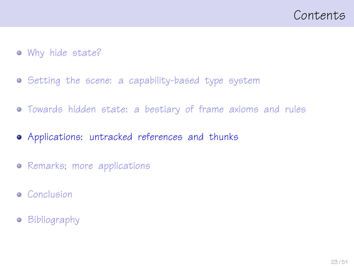- [Why hide state?](#page-1-0)
- **•** [Setting the scene: a capability-based type system](#page-9-0)
- [Towards hidden state: a bestiary of frame axioms and rules](#page-14-0)
- [Applications: untracked references and thunks](#page-22-0)
- [Remarks; more applications](#page-32-0)
- **•** [Conclusion](#page-42-0)
- <span id="page-22-0"></span>**•** [Bibliography](#page-44-0)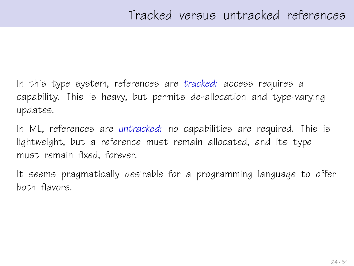In this type system, references are tracked: access requires a capability. This is heavy, but permits de-allocation and type-varying updates.

In ML, references are untracked: no capabilities are required. This is lightweight, but a reference must remain allocated, and its type must remain fixed, forever.

It seems pragmatically desirable for a programming language to offer both flavors.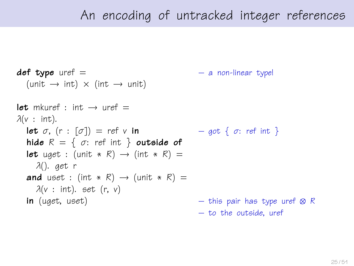```
def type uref = - a non-linear type!
  (unit \rightarrow int) \times (int \rightarrow unit)
let mkuref \cdot int \rightarrow uref =\lambda(v : \text{int}).let \sigma, (r : [\sigma]) = ref v in - got { \sigma: ref int }
  hide R = \{ \sigma : \text{ref int } \} outside of
  let uget : (unit * R) \rightarrow (int * R) =
    λ(). get r
  and uset : (int * R) \rightarrow (unit * R) =
    \lambda(v : \text{int}). set (r, v)in (uget, uset) – this pair has type uref ⊗ R
                                                – to the outside, uref
```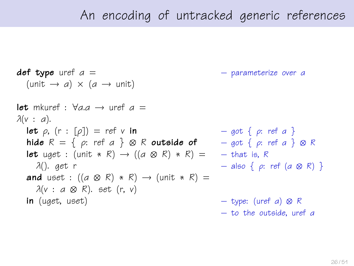$def\ type\ uref\ a =$  – parameterize over a  $(\text{unit} \rightarrow a) \times (a \rightarrow \text{unit})$ let mkuref  $\cdot$   $\forall$ a  $\alpha \rightarrow$  uref  $\alpha =$  $\lambda(v : a)$ . **let**  $\rho$ ,  $(r : [\rho]) = ref v$  in  $- qot \{ \rho : ref a \}$ hide  $R = \{ \varrho: \text{ref } a \} \otimes R$  outside of  $\qquad - \text{got } \{ \varrho: \text{ref } a \} \otimes R$ **let** uget : (unit \* R)  $\rightarrow$  ((a  $\otimes$  R) \* R) = – that is, R λ(). get r – also { ρ: ref (α ⊗ R) } and uset :  $((a \otimes R) * R) \rightarrow (unit * R) =$  $\lambda(v : a \otimes R)$ . set (r, v) **in** (uget, uset) – type: (uref a)  $\otimes$  R – to the outside, uref α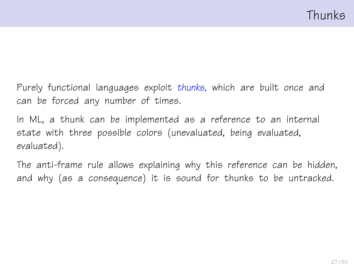Purely functional languages exploit thunks, which are built once and can be forced any number of times.

In ML, a thunk can be implemented as a reference to an internal state with three possible colors (unevaluated, being evaluated, evaluated).

The anti-frame rule allows explaining why this reference can be hidden, and why (as a consequence) it is sound for thunks to be untracked.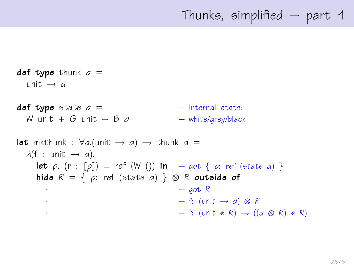```
def type thunk a =unit \rightarrow a
def type state a = – internal state:
  W unit + G unit + B a – white/grey/black
let mkthunk : \forall a.(unit \rightarrow a) \rightarrow thunk a =\lambda(f : \text{unit} \rightarrow a).let \rho, (r : [\rho]) = ref (W ()) in -got \{ \rho : ref (state \ a) \}hide R = \{ \rho: \text{ref } (\text{state } a) \} \otimes R outside of
      \cdot – got R
      · – f: (unit → a) ⊗ R
      - f: (unit * R) → ((a \otimes R) * R)
```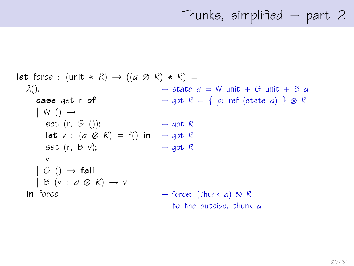## Thunks, simplified – part 2

```
let force : (unit * R) \rightarrow ((a \otimes R) * R) =
  \lambda(). – state a = W unit + G unit + B acase get r of - got R = \{ \rho : \text{ref} \text{ (state } a) \} \otimes R| W ( ) \rightarrowset (r, G ()); - got R
      let v : (a \otimes R) = f() in – got R
      set (r, B v); - got R
      v
    | G ( ) \rightarrow fail
    | B (v : a \otimes R) \rightarrow vin force - force: (thunk a) \otimes R– to the outside, thunk α
```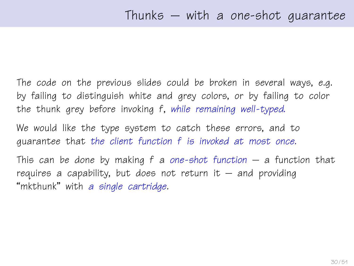The code on the previous slides could be broken in several ways, e.g. by failing to distinguish white and grey colors, or by failing to color the thunk grey before invoking f, while remaining well-typed.

We would like the type system to catch these errors, and to guarantee that the client function f is invoked at most once.

This can be done by making  $f$  a one-shot function  $-$  a function that requires a capability, but does not return it  $-$  and providing "mkthunk" with a single cartridge.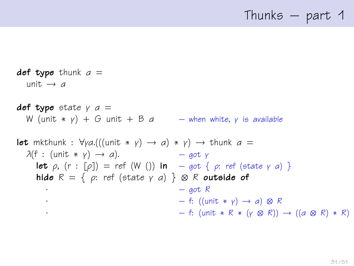## Thunks – part 1

def type thunk  $a =$ unit  $\rightarrow$  a def type state  $\gamma$  a = W (unit  $* v$ ) + G unit + B a – when white, y is available **let** mkthunk :  $\forall y a. (((unit * y) \rightarrow a) * y) \rightarrow thunk a =$  $\lambda(f : (\text{unit} * \gamma) \rightarrow a).$  – got γ **let**  $\rho$ ,  $(r : [\rho]) = ref (W())$  **in**  $-\text{got} \{ \rho: ref (state \gamma \alpha) \}$ hide  $R = \{ \rho: \text{ref } (\text{state } \gamma \text{ a}) \} \otimes R$  outside of  $-$  got R  $\cdot$  – f: ((unit  $*$   $\gamma$ )  $\rightarrow$  a)  $\otimes$  R  $\cdot$  – f: (unit  $*$  R  $*$  (γ ⊗ R))  $\rightarrow$  ((a ⊗ R)  $*$  R)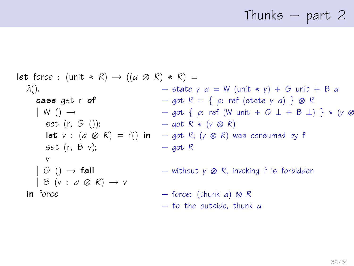# Thunks – part 2

**let** force: (unit \* R) 
$$
\rightarrow
$$
 ((a & R) \* R) =

\n $\lambda()$ .

\n**case** get  $\mathbf{r} \cdot \mathbf{r} \cdot \mathbf{r}$ 

\n $\rightarrow$   $\begin{aligned}\n &\text{case get } \mathbf{r} \cdot \mathbf{r} \cdot \mathbf{r} \cdot \mathbf{r} \cdot \mathbf{r} \cdot \mathbf{r} \cdot \mathbf{r} \cdot \mathbf{r} \cdot \mathbf{r} \cdot \mathbf{r} \cdot \mathbf{r} \cdot \mathbf{r} \cdot \mathbf{r} \cdot \mathbf{r} \cdot \mathbf{r} \cdot \mathbf{r} \cdot \mathbf{r} \cdot \mathbf{r} \cdot \mathbf{r} \cdot \mathbf{r} \cdot \mathbf{r} \cdot \mathbf{r} \cdot \mathbf{r} \cdot \mathbf{r} \cdot \mathbf{r} \cdot \mathbf{r} \cdot \mathbf{r} \cdot \mathbf{r} \cdot \mathbf{r} \cdot \mathbf{r} \cdot \mathbf{r} \cdot \mathbf{r} \cdot \mathbf{r} \cdot \mathbf{r} \cdot \mathbf{r} \cdot \mathbf{r} \cdot \mathbf{r} \cdot \mathbf{r} \cdot \mathbf{r} \cdot \mathbf{r} \cdot \mathbf{r} \cdot \mathbf{r} \cdot \mathbf{r} \cdot \mathbf{r} \cdot \mathbf{r} \cdot \mathbf{r} \cdot \mathbf{r} \cdot \mathbf{r} \cdot \mathbf{r} \cdot \mathbf{r} \cdot \mathbf{r} \cdot \mathbf{r} \cdot \mathbf{r} \cdot \mathbf{r} \cdot \mathbf{r} \cdot \mathbf{r} \cdot \mathbf{r} \cdot \mathbf{r} \cdot \mathbf{r} \cdot \mathbf{r} \cdot \mathbf{r} \cdot \mathbf{r} \cdot \mathbf{r} \cdot \mathbf{r} \cdot \mathbf{r} \cdot \mathbf{r} \cdot \mathbf{r} \cdot \mathbf{r} \cdot \mathbf{r} \cdot \mathbf{r} \cdot \mathbf{r} \cdot \mathbf{r} \cdot \mathbf{r} \cdot \mathbf{r} \cdot \mathbf{r} \cdot \mathbf{r} \cdot \mathbf{r} \cdot \mathbf{r} \cdot \mathbf{r} \cdot \mathbf{r} \cdot \mathbf{r} \cdot \mathbf{r} \$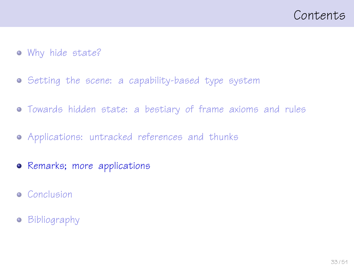- [Why hide state?](#page-1-0)
- **•** [Setting the scene: a capability-based type system](#page-9-0)
- [Towards hidden state: a bestiary of frame axioms and rules](#page-14-0)
- [Applications: untracked references and thunks](#page-22-0)
- [Remarks; more applications](#page-32-0)
- [Conclusion](#page-42-0)
- <span id="page-32-0"></span>**•** [Bibliography](#page-44-0)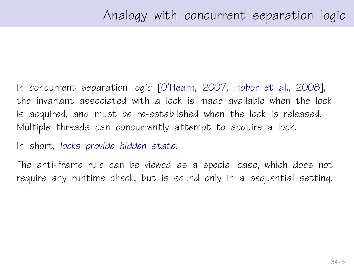In concurrent separation logic [\[O'Hearn, 2007,](#page-47-2) [Hobor et al., 2008\]](#page-46-1), the invariant associated with a lock is made available when the lock is acquired, and must be re-established when the lock is released. Multiple threads can concurrently attempt to acquire a lock.

In short, locks provide hidden state.

The anti-frame rule can be viewed as a special case, which does not require any runtime check, but is sound only in a sequential setting.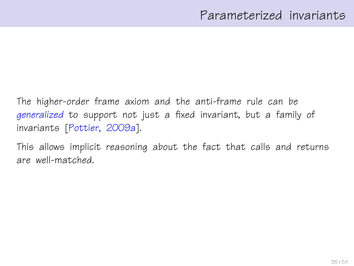The higher-order frame axiom and the anti-frame rule can be generalized to support not just a fixed invariant, but a family of invariants [\[Pottier, 2009a\]](#page-49-1).

This allows implicit reasoning about the fact that calls and returns are well-matched.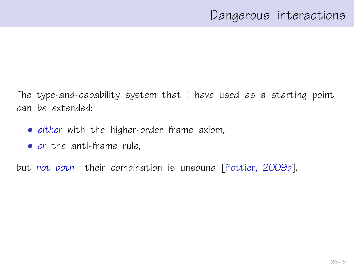The type-and-capability system that I have used as a starting point can be extended:

- either with the higher-order frame axiom,
- or the anti-frame rule,

but not both—their combination is unsound [\[Pottier, 2009b\]](#page-49-2).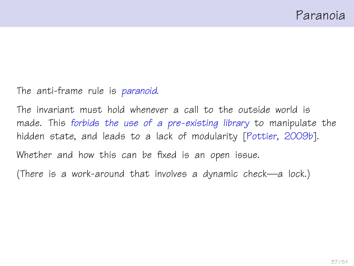#### The anti-frame rule is paranoid.

The invariant must hold whenever a call to the outside world is made. This forbids the use of a pre-existing library to manipulate the hidden state, and leads to a lack of modularity [\[Pottier, 2009b\]](#page-49-2). Whether and how this can be fixed is an open issue.

(There is a work-around that involves a dynamic check—a lock.)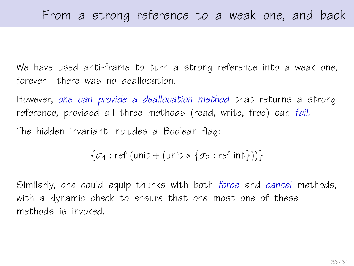We have used anti-frame to turn a strong reference into a weak one, forever—there was no deallocation.

However, one can provide a deallocation method that returns a strong reference, provided all three methods (read, write, free) can fail. The hidden invariant includes a Boolean flag:

 $\{\sigma_1: \text{ref}(\text{unit} + (\text{unit} * \{\sigma_2: \text{ref}(\text{int})))\}\)$ 

Similarly, one could equip thunks with both force and cancel methods, with a dynamic check to ensure that one most one of these methods is invoked.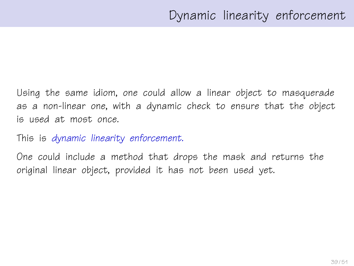Using the same idiom, one could allow a linear object to masquerade as a non-linear one, with a dynamic check to ensure that the object is used at most once.

This is dynamic linearity enforcement.

One could include a method that drops the mask and returns the original linear object, provided it has not been used yet.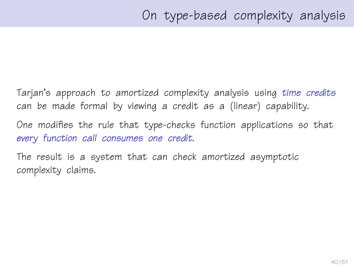Tarjan's approach to amortized complexity analysis using time credits can be made formal by viewing a credit as a (linear) capability.

One modifies the rule that type-checks function applications so that every function call consumes one credit.

The result is a system that can check amortized asymptotic complexity claims.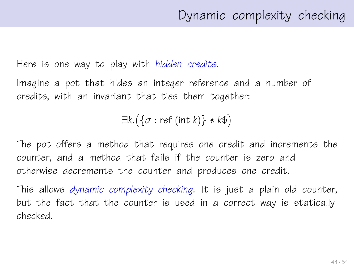Here is one way to play with hidden credits.

Imagine a pot that hides an integer reference and a number of credits, with an invariant that ties them together:

 $\exists k. (\{\sigma : \text{ref (int } k)\} * k\$ 

The pot offers a method that requires one credit and increments the counter, and a method that fails if the counter is zero and otherwise decrements the counter and produces one credit.

This allows dynamic complexity checking. It is just a plain old counter, but the fact that the counter is used in a correct way is statically checked.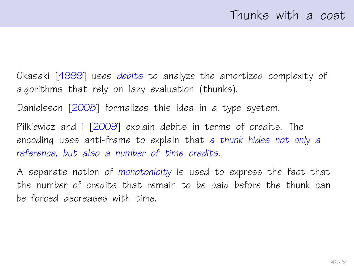Okasaki [\[1999\]](#page-48-2) uses debits to analyze the amortized complexity of algorithms that rely on lazy evaluation (thunks).

Danielsson [\[2008\]](#page-45-2) formalizes this idea in a type system.

Pilkiewicz and I [\[2009\]](#page-49-3) explain debits in terms of credits. The encoding uses anti-frame to explain that a thunk hides not only a reference, but also a number of time credits.

A separate notion of monotonicity is used to express the fact that the number of credits that remain to be paid before the thunk can be forced decreases with time.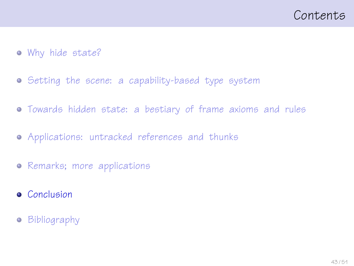- [Why hide state?](#page-1-0)
- **•** [Setting the scene: a capability-based type system](#page-9-0)
- [Towards hidden state: a bestiary of frame axioms and rules](#page-14-0)
- [Applications: untracked references and thunks](#page-22-0)
- [Remarks; more applications](#page-32-0)
- **•** [Conclusion](#page-42-0)
- <span id="page-42-0"></span>**•** [Bibliography](#page-44-0)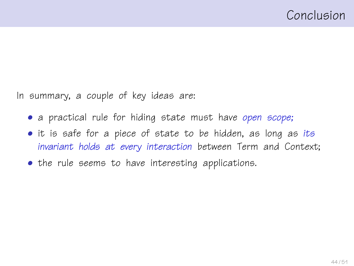In summary, a couple of key ideas are:

- a practical rule for hiding state must have open scope;
- it is safe for a piece of state to be hidden, as long as its invariant holds at every interaction between Term and Context;
- the rule seems to have interesting applications.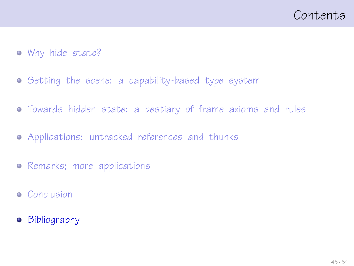- [Why hide state?](#page-1-0)
- **•** [Setting the scene: a capability-based type system](#page-9-0)
- [Towards hidden state: a bestiary of frame axioms and rules](#page-14-0)
- [Applications: untracked references and thunks](#page-22-0)
- [Remarks; more applications](#page-32-0)
- [Conclusion](#page-42-0)
- <span id="page-44-0"></span>[Bibliography](#page-44-0)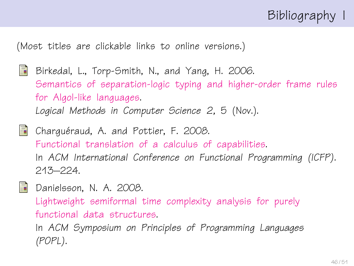## Bibliography I

(Most titles are clickable links to online versions.)

- <span id="page-45-1"></span>記 Birkedal, L., Torp-Smith, N., and Yang, H. 2006. [Semantics of separation-logic typing and higher-order frame rules](http://arxiv.org/pdf/cs.LO/0610081) [for Algol-like languages.](http://arxiv.org/pdf/cs.LO/0610081) Logical Methods in Computer Science 2, 5 (Nov.).
- <span id="page-45-0"></span>靠 Charquéraud, A. and Pottier, F. 2008. [Functional translation of a calculus of capabilities.](http://cristal.inria.fr/~fpottier/publis/chargueraud-pottier-capabilities.pdf) In ACM International Conference on Functional Programming (ICFP). 213–224.
- <span id="page-45-2"></span>S.
- Danielsson, N. A. 2008.

[Lightweight semiformal time complexity analysis for purely](http://www.cs.chalmers.se/~nad/publications/danielsson-popl2008.pdf) [functional data structures.](http://www.cs.chalmers.se/~nad/publications/danielsson-popl2008.pdf)

In ACM Symposium on Principles of Programming Languages (POPL).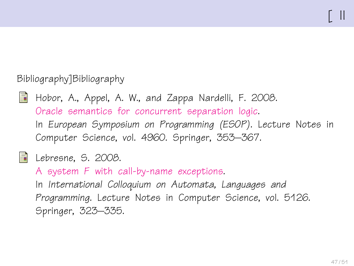### Bibliography]Bibliography

<span id="page-46-1"></span>

Hobor, A., Appel, A. W., and Zappa Nardelli, F. 2008. [Oracle semantics for concurrent separation logic.](http://www.comp.nus.edu.sg/~hobor/concurrent_esop.pdf) In European Symposium on Programming (ESOP). Lecture Notes in Computer Science, vol. 4960. Springer, 353–367.

### <span id="page-46-0"></span>**E** Lebresne, S. 2008.

A system F [with call-by-name exceptions.](http://www.pps.jussieu.fr/~lebresne/papers/SystemFWithExceptions.pdf) In International Colloquium on Automata, Languages and Programming. Lecture Notes in Computer Science, vol. 5126. Springer, 323–335.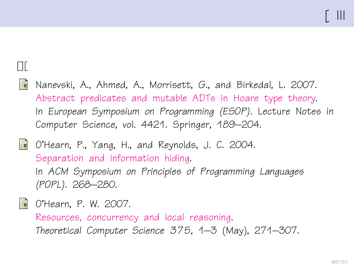## $[1]$

- <span id="page-47-1"></span>靠 Nanevski, A., Ahmed, A., Morrisett, G., and Birkedal, L. 2007. [Abstract predicates and mutable ADTs in Hoare type theory.](http://www.eecs.harvard.edu/~aleks/papers/hoarelogic/esop07.pdf) In European Symposium on Programming (ESOP). Lecture Notes in Computer Science, vol. 4421. Springer, 189–204.
- <span id="page-47-0"></span>暈 O'Hearn, P., Yang, H., and Reynolds, J. C. 2004. [Separation and information hiding.](http://www.dcs.qmul.ac.uk/~ohearn/papers/separation-and-hiding.pdf) In ACM Symposium on Principles of Programming Languages (POPL). 268–280.
- <span id="page-47-2"></span>
- **D** O'Hearn, P. W. 2007.
	- [Resources, concurrency and local reasoning.](http://www.dcs.qmul.ac.uk/~ohearn/papers/concurrency.pdf) Theoretical Computer Science 375, 1–3 (May), 271–307.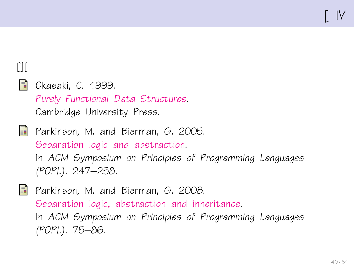## $[1]$

<span id="page-48-2"></span>

Okasaki, C. 1999. [Purely Functional Data Structures](http://www.cambridge.org/us/catalogue/catalogue.asp?isbn=0521663504). Cambridge University Press.

<span id="page-48-0"></span>

**Parkinson, M. and Bierman, G. 2005.** [Separation logic and abstraction.](http://www.cl.cam.ac.uk/~mjp41/p205-parkinson.pdf) In ACM Symposium on Principles of Programming Languages (POPL). 247–258.

<span id="page-48-1"></span>

**Parkinson, M. and Bierman, G. 2008.** [Separation logic, abstraction and inheritance.](http://research.microsoft.com/~gmb/Papers/popl08.pdf) In ACM Symposium on Principles of Programming Languages (POPL). 75–86.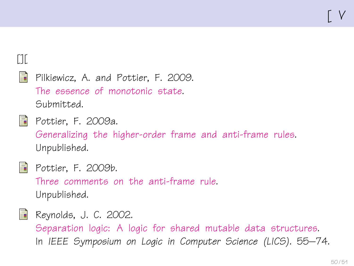## $[1]$

<span id="page-49-3"></span>螶

Pilkiewicz, A. and Pottier, F. 2009. [The essence of monotonic state.](http://gallium.inria.fr/~fpottier/publis/pilkiewicz-pottier-monotonicity-2009.pdf) Submitted.

<span id="page-49-1"></span>

**P**ottier, F. 2009a.

[Generalizing the higher-order frame and anti-frame rules.](http://gallium.inria.fr/~fpottier/publis/fpottier-gaf-2009.pdf) Unpublished.

<span id="page-49-2"></span>

**Pottier, F. 2009b.** 

[Three comments on the anti-frame rule.](http://gallium.inria.fr/~fpottier/publis/fpottier-caf-2009.pdf) Unpublished.

<span id="page-49-0"></span>

**Reynolds, J. C. 2002.** [Separation logic: A logic for shared mutable data structures.](ftp://ftp.cs.cmu.edu/user/jcr/seplogic.ps.gz) In IEEE Symposium on Logic in Computer Science (LICS). 55–74.